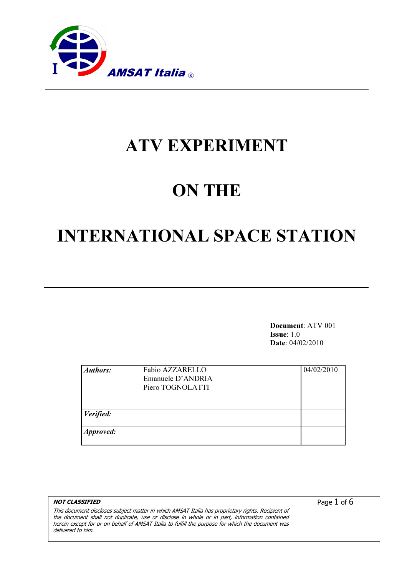

# ATV EXPERIMENT

# ON THE

# INTERNATIONAL SPACE STATION

Document: ATV 001 Issue: 1.0 Date: 04/02/2010

| <b>Authors:</b>  | Fabio AZZARELLO<br>Emanuele D'ANDRIA<br>Piero TOGNOLATTI | 04/02/2010 |
|------------------|----------------------------------------------------------|------------|
| Verified:        |                                                          |            |
| <b>Approved:</b> |                                                          |            |

NOT CLASSIFIED This document discloses subject matter in which AMSAT Italia has proprietary rights. Recipient of the document shall not duplicate, use or disclose in whole or in part, information contained herein except for or on behalf of AMSAT Italia to fulfill the purpose for which the document was delivered to him.

Page 1 of 6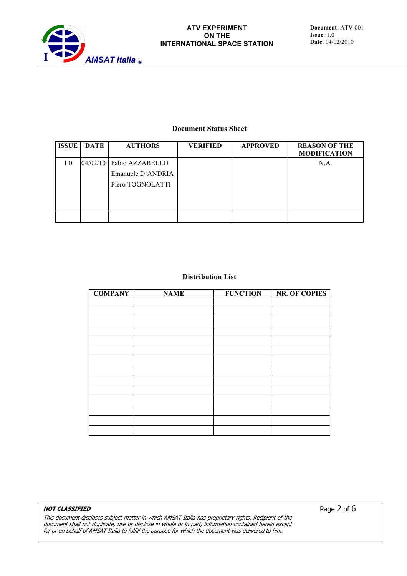

#### Document Status Sheet

| <b>ISSUE</b> | <b>DATE</b> | <b>AUTHORS</b>    | <b>VERIFIED</b> | <b>APPROVED</b> | <b>REASON OF THE</b><br><b>MODIFICATION</b> |
|--------------|-------------|-------------------|-----------------|-----------------|---------------------------------------------|
| 1.0          | 04/02/10    | Fabio AZZARELLO   |                 |                 | N.A.                                        |
|              |             | Emanuele D'ANDRIA |                 |                 |                                             |
|              |             | Piero TOGNOLATTI  |                 |                 |                                             |
|              |             |                   |                 |                 |                                             |
|              |             |                   |                 |                 |                                             |
|              |             |                   |                 |                 |                                             |

#### Distribution List

| <b>COMPANY</b> | <b>NAME</b> | <b>FUNCTION</b> | <b>NR. OF COPIES</b> |
|----------------|-------------|-----------------|----------------------|
|                |             |                 |                      |
|                |             |                 |                      |
|                |             |                 |                      |
|                |             |                 |                      |
|                |             |                 |                      |
|                |             |                 |                      |
|                |             |                 |                      |
|                |             |                 |                      |
|                |             |                 |                      |
|                |             |                 |                      |
|                |             |                 |                      |
|                |             |                 |                      |
|                |             |                 |                      |
|                |             |                 |                      |

#### NOT CLASSIFIED

This document discloses subject matter in which AMSAT Italia has proprietary rights. Recipient of the document shall not duplicate, use or disclose in whole or in part, information contained herein except for or on behalf of AMSAT Italia to fulfill the purpose for which the document was delivered to him.

Page 2 of 6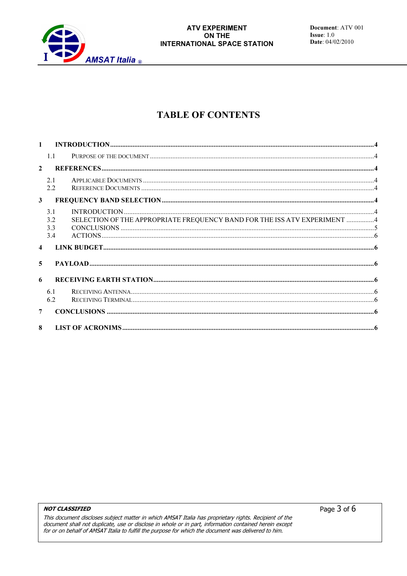

# **TABLE OF CONTENTS**

| $\mathbf{1}$     |                          |                                                                          |  |  |  |  |
|------------------|--------------------------|--------------------------------------------------------------------------|--|--|--|--|
|                  | 1.1                      |                                                                          |  |  |  |  |
| $\overline{2}$   |                          |                                                                          |  |  |  |  |
|                  | 2.1<br>2.2               |                                                                          |  |  |  |  |
| $\mathbf{3}$     |                          |                                                                          |  |  |  |  |
|                  | 3.1<br>3.2<br>3.3<br>3.4 | SELECTION OF THE APPROPRIATE FREQUENCY BAND FOR THE ISS ATV EXPERIMENT 4 |  |  |  |  |
| $\blacktriangle$ |                          |                                                                          |  |  |  |  |
| 5                |                          |                                                                          |  |  |  |  |
| 6                |                          |                                                                          |  |  |  |  |
|                  | 6.1<br>6.2               |                                                                          |  |  |  |  |
| $\overline{7}$   |                          |                                                                          |  |  |  |  |
| $\mathbf{R}$     |                          |                                                                          |  |  |  |  |

#### **NOT CLASSIFIED**

This document discloses subject matter in which AMSAT Italia has proprietary rights. Recipient of the document shall not duplicate, use or disclose in whole or in part, information contained herein except for or on behalf of AMSAT Italia to fulfill the purpose for which the document was delivered to him.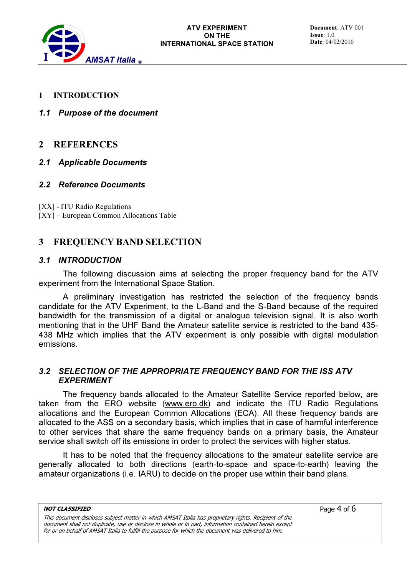

- 1 INTRODUCTION
- 1.1 Purpose of the document

### 2 REFERENCES

### 2.1 Applicable Documents

#### 2.2 Reference Documents

[XX] - ITU Radio Regulations [XY] – European Common Allocations Table

## 3 FREQUENCY BAND SELECTION

#### 3.1 INTRODUCTION

The following discussion aims at selecting the proper frequency band for the ATV experiment from the International Space Station.

A preliminary investigation has restricted the selection of the frequency bands candidate for the ATV Experiment, to the L-Band and the S-Band because of the required bandwidth for the transmission of a digital or analogue television signal. It is also worth mentioning that in the UHF Band the Amateur satellite service is restricted to the band 435- 438 MHz which implies that the ATV experiment is only possible with digital modulation emissions.

### 3.2 SELECTION OF THE APPROPRIATE FREQUENCY BAND FOR THE ISS ATV EXPERIMENT

The frequency bands allocated to the Amateur Satellite Service reported below, are taken from the ERO website (www.ero.dk) and indicate the ITU Radio Regulations allocations and the European Common Allocations (ECA). All these frequency bands are allocated to the ASS on a secondary basis, which implies that in case of harmful interference to other services that share the same frequency bands on a primary basis, the Amateur service shall switch off its emissions in order to protect the services with higher status.

It has to be noted that the frequency allocations to the amateur satellite service are generally allocated to both directions (earth-to-space and space-to-earth) leaving the amateur organizations (i.e. IARU) to decide on the proper use within their band plans.

Page 4 of 6

This document discloses subject matter in which AMSAT Italia has proprietary rights. Recipient of the document shall not duplicate, use or disclose in whole or in part, information contained herein except for or on behalf of AMSAT Italia to fulfill the purpose for which the document was delivered to him.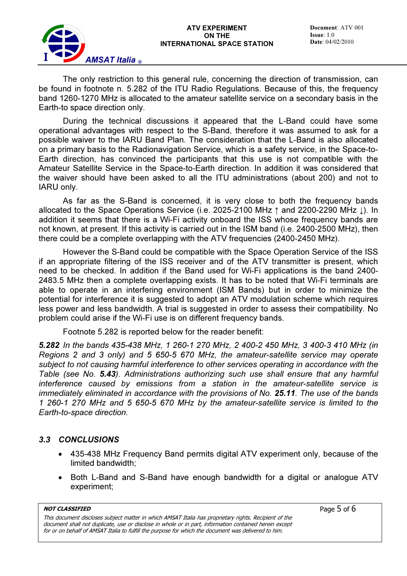The only restriction to this general rule, concerning the direction of transmission, can be found in footnote n. 5.282 of the ITU Radio Regulations. Because of this, the frequency band 1260-1270 MHz is allocated to the amateur satellite service on a secondary basis in the Earth-to space direction only.

During the technical discussions it appeared that the L-Band could have some operational advantages with respect to the S-Band, therefore it was assumed to ask for a possible waiver to the IARU Band Plan. The consideration that the L-Band is also allocated on a primary basis to the Radionavigation Service, which is a safety service, in the Space-to-Earth direction, has convinced the participants that this use is not compatible with the Amateur Satellite Service in the Space-to-Earth direction. In addition it was considered that the waiver should have been asked to all the ITU administrations (about 200) and not to IARU only.

As far as the S-Band is concerned, it is very close to both the frequency bands allocated to the Space Operations Service (i.e. 2025-2100 MHz ↑ and 2200-2290 MHz ↓). In addition it seems that there is a Wi-Fi activity onboard the ISS whose frequency bands are not known, at present. If this activity is carried out in the ISM band (i.e. 2400-2500 MHz), then there could be a complete overlapping with the ATV frequencies (2400-2450 MHz).

However the S-Band could be compatible with the Space Operation Service of the ISS if an appropriate filtering of the ISS receiver and of the ATV transmitter is present, which need to be checked. In addition if the Band used for Wi-Fi applications is the band 2400- 2483.5 MHz then a complete overlapping exists. It has to be noted that Wi-Fi terminals are able to operate in an interfering environment (ISM Bands) but in order to minimize the potential for interference it is suggested to adopt an ATV modulation scheme which requires less power and less bandwidth. A trial is suggested in order to assess their compatibility. No problem could arise if the Wi-Fi use is on different frequency bands.

Footnote 5.282 is reported below for the reader benefit:

5.282 In the bands 435-438 MHz, 1 260-1 270 MHz, 2 400-2 450 MHz, 3 400-3 410 MHz (in Regions 2 and 3 only) and 5 650-5 670 MHz, the amateur-satellite service may operate subject to not causing harmful interference to other services operating in accordance with the Table (see No. 5.43). Administrations authorizing such use shall ensure that any harmful interference caused by emissions from a station in the amateur-satellite service is immediately eliminated in accordance with the provisions of No. 25.11. The use of the bands 1 260-1 270 MHz and 5 650-5 670 MHz by the amateur-satellite service is limited to the Earth-to-space direction.

### 3.3 CONCLUSIONS

- 435-438 MHz Frequency Band permits digital ATV experiment only, because of the limited bandwidth;
- Both L-Band and S-Band have enough bandwidth for a digital or analogue ATV experiment;

NOT CLASSIFIED

This document discloses subject matter in which AMSAT Italia has proprietary rights. Recipient of the document shall not duplicate, use or disclose in whole or in part, information contained herein except for or on behalf of AMSAT Italia to fulfill the purpose for which the document was delivered to him.

Page 5 of 6